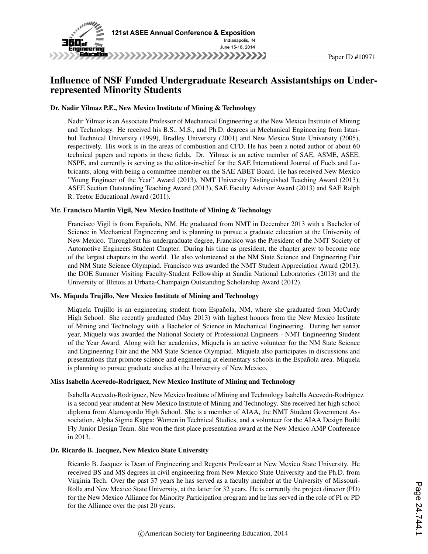

## Influence of NSF Funded Undergraduate Research Assistantships on Underrepresented Minority Students

Paper ID #10971

#### Dr. Nadir Yilmaz P.E., New Mexico Institute of Mining & Technology

Nadir Yilmaz is an Associate Professor of Mechanical Engineering at the New Mexico Institute of Mining and Technology. He received his B.S., M.S., and Ph.D. degrees in Mechanical Engineering from Istanbul Technical University (1999), Bradley University (2001) and New Mexico State University (2005), respectively. His work is in the areas of combustion and CFD. He has been a noted author of about 60 technical papers and reports in these fields. Dr. Yilmaz is an active member of SAE, ASME, ASEE, NSPE, and currently is serving as the editor-in-chief for the SAE International Journal of Fuels and Lubricants, along with being a committee member on the SAE ABET Board. He has received New Mexico "Young Engineer of the Year" Award (2013), NMT University Distinguished Teaching Award (2013), ASEE Section Outstanding Teaching Award (2013), SAE Faculty Advisor Award (2013) and SAE Ralph R. Teetor Educational Award (2011).

#### Mr. Francisco Martin Vigil, New Mexico Institute of Mining & Technology

Francisco Vigil is from Española, NM. He graduated from NMT in December 2013 with a Bachelor of Science in Mechanical Engineering and is planning to pursue a graduate education at the University of New Mexico. Throughout his undergraduate degree, Francisco was the President of the NMT Society of Automotive Engineers Student Chapter. During his time as president, the chapter grew to become one of the largest chapters in the world. He also volunteered at the NM State Science and Engineering Fair and NM State Science Olympiad. Francisco was awarded the NMT Student Appreciation Award (2013), the DOE Summer Visiting Faculty-Student Fellowship at Sandia National Laboratories (2013) and the University of Illinois at Urbana-Champaign Outstanding Scholarship Award (2012).

#### Ms. Miquela Trujillo, New Mexico Institute of Mining and Technology

Miquela Trujillo is an engineering student from Española, NM, where she graduated from McCurdy High School. She recently graduated (May 2013) with highest honors from the New Mexico Institute of Mining and Technology with a Bachelor of Science in Mechanical Engineering. During her senior year, Miquela was awarded the National Society of Professional Engineers - NMT Engineering Student of the Year Award. Along with her academics, Miquela is an active volunteer for the NM State Science and Engineering Fair and the NM State Science Olympiad. Miquela also participates in discussions and presentations that promote science and engineering at elementary schools in the Española area. Miquela is planning to pursue graduate studies at the University of New Mexico.

#### Miss Isabella Acevedo-Rodriguez, New Mexico Institute of Mining and Technology

Isabella Acevedo-Rodriguez, New Mexico Institute of Mining and Technology Isabella Acevedo-Rodriguez is a second year student at New Mexico Institute of Mining and Technology. She received her high school diploma from Alamogordo High School. She is a member of AIAA, the NMT Student Government Association, Alpha Sigma Kappa: Women in Technical Studies, and a volunteer for the AIAA Design Build Fly Junior Design Team. She won the first place presentation award at the New Mexico AMP Conference in 2013.

#### Dr. Ricardo B. Jacquez, New Mexico State University

Ricardo B. Jacquez is Dean of Engineering and Regents Professor at New Mexico State University. He received BS and MS degrees in civil engineering from New Mexico State University and the Ph.D. from Virginia Tech. Over the past 37 years he has served as a faculty member at the University of Missouri-Rolla and New Mexico State University, at the latter for 32 years. He is currently the project director (PD) for the New Mexico Alliance for Minority Participation program and he has served in the role of PI or PD for the Alliance over the past 20 years.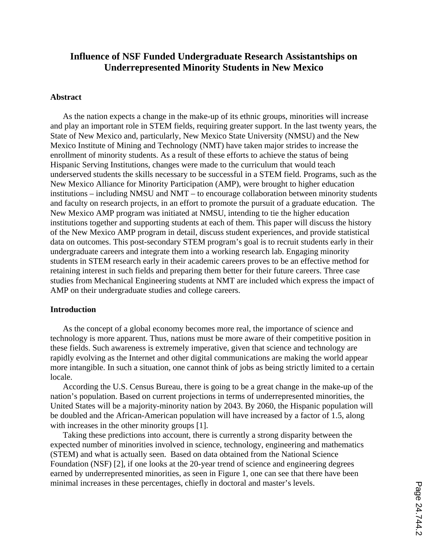# **Influence of NSF Funded Undergraduate Research Assistantships on Underrepresented Minority Students in New Mexico**

### **Abstract**

As the nation expects a change in the make-up of its ethnic groups, minorities will increase and play an important role in STEM fields, requiring greater support. In the last twenty years, the State of New Mexico and, particularly, New Mexico State University (NMSU) and the New Mexico Institute of Mining and Technology (NMT) have taken major strides to increase the enrollment of minority students. As a result of these efforts to achieve the status of being Hispanic Serving Institutions, changes were made to the curriculum that would teach underserved students the skills necessary to be successful in a STEM field. Programs, such as the New Mexico Alliance for Minority Participation (AMP), were brought to higher education institutions – including NMSU and NMT – to encourage collaboration between minority students and faculty on research projects, in an effort to promote the pursuit of a graduate education. The New Mexico AMP program was initiated at NMSU, intending to tie the higher education institutions together and supporting students at each of them. This paper will discuss the history of the New Mexico AMP program in detail, discuss student experiences, and provide statistical data on outcomes. This post-secondary STEM program's goal is to recruit students early in their undergraduate careers and integrate them into a working research lab. Engaging minority students in STEM research early in their academic careers proves to be an effective method for retaining interest in such fields and preparing them better for their future careers. Three case studies from Mechanical Engineering students at NMT are included which express the impact of AMP on their undergraduate studies and college careers.

## **Introduction**

As the concept of a global economy becomes more real, the importance of science and technology is more apparent. Thus, nations must be more aware of their competitive position in these fields. Such awareness is extremely imperative, given that science and technology are rapidly evolving as the Internet and other digital communications are making the world appear more intangible. In such a situation, one cannot think of jobs as being strictly limited to a certain locale.

According the U.S. Census Bureau, there is going to be a great change in the make-up of the nation's population. Based on current projections in terms of underrepresented minorities, the United States will be a majority-minority nation by 2043. By 2060, the Hispanic population will be doubled and the African-American population will have increased by a factor of 1.5, along with increases in the other minority groups [1].

Taking these predictions into account, there is currently a strong disparity between the expected number of minorities involved in science, technology, engineering and mathematics (STEM) and what is actually seen. Based on data obtained from the National Science Foundation (NSF) [2], if one looks at the 20-year trend of science and engineering degrees earned by underrepresented minorities, as seen in Figure 1, one can see that there have been minimal increases in these percentages, chiefly in doctoral and master's levels.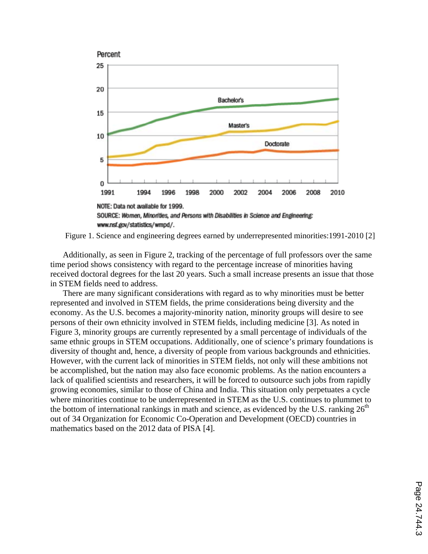

Figure 1. Science and engineering degrees earned by underrepresented minorities:1991-2010 [2]

Additionally, as seen in Figure 2, tracking of the percentage of full professors over the same time period shows consistency with regard to the percentage increase of minorities having received doctoral degrees for the last 20 years. Such a small increase presents an issue that those in STEM fields need to address.

There are many significant considerations with regard as to why minorities must be better represented and involved in STEM fields, the prime considerations being diversity and the economy. As the U.S. becomes a majority-minority nation, minority groups will desire to see persons of their own ethnicity involved in STEM fields, including medicine [3]. As noted in Figure 3, minority groups are currently represented by a small percentage of individuals of the same ethnic groups in STEM occupations. Additionally, one of science's primary foundations is diversity of thought and, hence, a diversity of people from various backgrounds and ethnicities. However, with the current lack of minorities in STEM fields, not only will these ambitions not be accomplished, but the nation may also face economic problems. As the nation encounters a lack of qualified scientists and researchers, it will be forced to outsource such jobs from rapidly growing economies, similar to those of China and India. This situation only perpetuates a cycle where minorities continue to be underrepresented in STEM as the U.S. continues to plummet to the bottom of international rankings in math and science, as evidenced by the U.S. ranking  $26<sup>th</sup>$ out of 34 Organization for Economic Co-Operation and Development (OECD) countries in mathematics based on the 2012 data of PISA [4].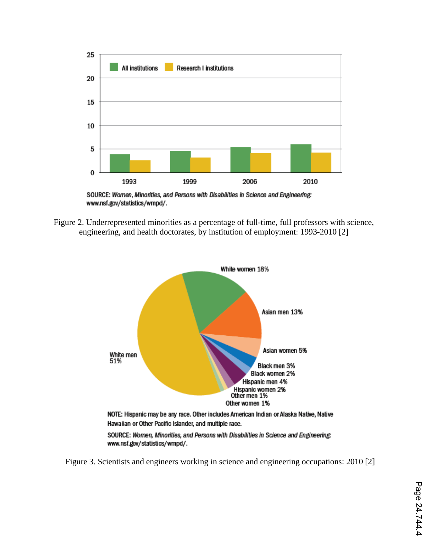

SOURCE: Women, Minorities, and Persons with Disabilities in Science and Engineering: www.nsf.gov/statistics/wmpd/.

Figure 2. Underrepresented minorities as a percentage of full-time, full professors with science, engineering, and health doctorates, by institution of employment: 1993-2010 [2]



Figure 3. Scientists and engineers working in science and engineering occupations: 2010 [2]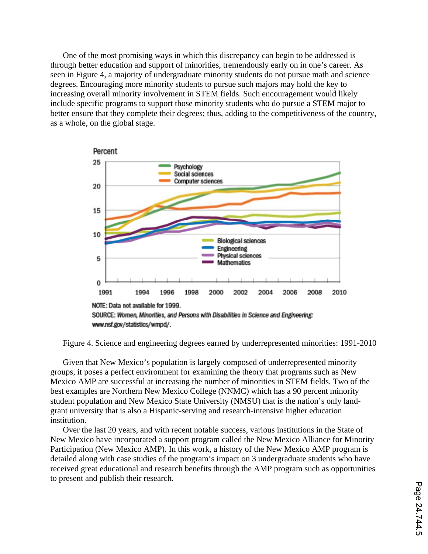One of the most promising ways in which this discrepancy can begin to be addressed is through better education and support of minorities, tremendously early on in one's career. As seen in Figure 4, a majority of undergraduate minority students do not pursue math and science degrees. Encouraging more minority students to pursue such majors may hold the key to increasing overall minority involvement in STEM fields. Such encouragement would likely include specific programs to support those minority students who do pursue a STEM major to better ensure that they complete their degrees; thus, adding to the competitiveness of the country, as a whole, on the global stage.



Figure 4. Science and engineering degrees earned by underrepresented minorities: 1991-2010

Given that New Mexico's population is largely composed of underrepresented minority groups, it poses a perfect environment for examining the theory that programs such as New Mexico AMP are successful at increasing the number of minorities in STEM fields. Two of the best examples are Northern New Mexico College (NNMC) which has a 90 percent minority student population and New Mexico State University (NMSU) that is the nation's only landgrant university that is also a Hispanic-serving and research-intensive higher education institution.

Over the last 20 years, and with recent notable success, various institutions in the State of New Mexico have incorporated a support program called the New Mexico Alliance for Minority Participation (New Mexico AMP). In this work, a history of the New Mexico AMP program is detailed along with case studies of the program's impact on 3 undergraduate students who have received great educational and research benefits through the AMP program such as opportunities to present and publish their research.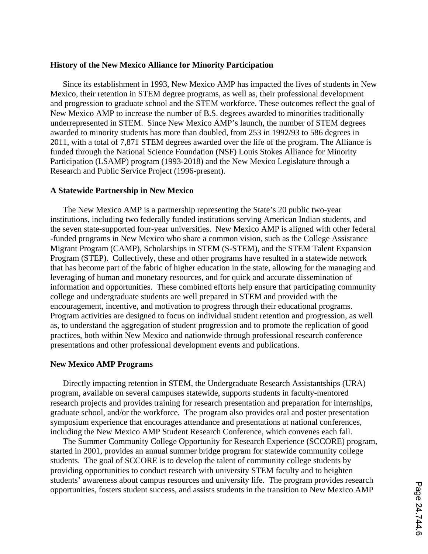## **History of the New Mexico Alliance for Minority Participation**

Since its establishment in 1993, New Mexico AMP has impacted the lives of students in New Mexico, their retention in STEM degree programs, as well as, their professional development and progression to graduate school and the STEM workforce. These outcomes reflect the goal of New Mexico AMP to increase the number of B.S. degrees awarded to minorities traditionally underrepresented in STEM. Since New Mexico AMP's launch, the number of STEM degrees awarded to minority students has more than doubled, from 253 in 1992/93 to 586 degrees in 2011, with a total of 7,871 STEM degrees awarded over the life of the program. The Alliance is funded through the National Science Foundation (NSF) Louis Stokes Alliance for Minority Participation (LSAMP) program (1993-2018) and the New Mexico Legislature through a Research and Public Service Project (1996-present).

## **A Statewide Partnership in New Mexico**

The New Mexico AMP is a partnership representing the State's 20 public two-year institutions, including two federally funded institutions serving American Indian students, and the seven state-supported four-year universities. New Mexico AMP is aligned with other federal -funded programs in New Mexico who share a common vision, such as the College Assistance Migrant Program (CAMP), Scholarships in STEM (S-STEM), and the STEM Talent Expansion Program (STEP). Collectively, these and other programs have resulted in a statewide network that has become part of the fabric of higher education in the state, allowing for the managing and leveraging of human and monetary resources, and for quick and accurate dissemination of information and opportunities. These combined efforts help ensure that participating community college and undergraduate students are well prepared in STEM and provided with the encouragement, incentive, and motivation to progress through their educational programs. Program activities are designed to focus on individual student retention and progression, as well as, to understand the aggregation of student progression and to promote the replication of good practices, both within New Mexico and nationwide through professional research conference presentations and other professional development events and publications.

## **New Mexico AMP Programs**

Directly impacting retention in STEM, the Undergraduate Research Assistantships (URA) program, available on several campuses statewide, supports students in faculty-mentored research projects and provides training for research presentation and preparation for internships, graduate school, and/or the workforce. The program also provides oral and poster presentation symposium experience that encourages attendance and presentations at national conferences, including the New Mexico AMP Student Research Conference, which convenes each fall.

The Summer Community College Opportunity for Research Experience (SCCORE) program, started in 2001, provides an annual summer bridge program for statewide community college students. The goal of SCCORE is to develop the talent of community college students by providing opportunities to conduct research with university STEM faculty and to heighten students' awareness about campus resources and university life. The program provides research opportunities, fosters student success, and assists students in the transition to New Mexico AMP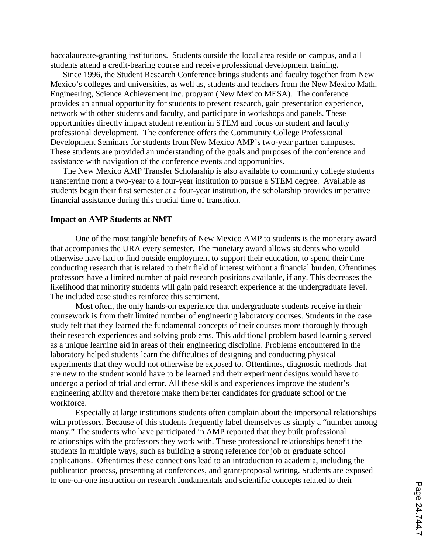baccalaureate-granting institutions. Students outside the local area reside on campus, and all students attend a credit-bearing course and receive professional development training.

Since 1996, the Student Research Conference brings students and faculty together from New Mexico's colleges and universities, as well as, students and teachers from the New Mexico Math, Engineering, Science Achievement Inc. program (New Mexico MESA). The conference provides an annual opportunity for students to present research, gain presentation experience, network with other students and faculty, and participate in workshops and panels. These opportunities directly impact student retention in STEM and focus on student and faculty professional development. The conference offers the Community College Professional Development Seminars for students from New Mexico AMP's two-year partner campuses. These students are provided an understanding of the goals and purposes of the conference and assistance with navigation of the conference events and opportunities.

The New Mexico AMP Transfer Scholarship is also available to community college students transferring from a two-year to a four-year institution to pursue a STEM degree. Available as students begin their first semester at a four-year institution, the scholarship provides imperative financial assistance during this crucial time of transition.

#### **Impact on AMP Students at NMT**

One of the most tangible benefits of New Mexico AMP to students is the monetary award that accompanies the URA every semester. The monetary award allows students who would otherwise have had to find outside employment to support their education, to spend their time conducting research that is related to their field of interest without a financial burden. Oftentimes professors have a limited number of paid research positions available, if any. This decreases the likelihood that minority students will gain paid research experience at the undergraduate level. The included case studies reinforce this sentiment.

Most often, the only hands-on experience that undergraduate students receive in their coursework is from their limited number of engineering laboratory courses. Students in the case study felt that they learned the fundamental concepts of their courses more thoroughly through their research experiences and solving problems. This additional problem based learning served as a unique learning aid in areas of their engineering discipline. Problems encountered in the laboratory helped students learn the difficulties of designing and conducting physical experiments that they would not otherwise be exposed to. Oftentimes, diagnostic methods that are new to the student would have to be learned and their experiment designs would have to undergo a period of trial and error. All these skills and experiences improve the student's engineering ability and therefore make them better candidates for graduate school or the workforce.

Especially at large institutions students often complain about the impersonal relationships with professors. Because of this students frequently label themselves as simply a "number among" many." The students who have participated in AMP reported that they built professional relationships with the professors they work with. These professional relationships benefit the students in multiple ways, such as building a strong reference for job or graduate school applications. Oftentimes these connections lead to an introduction to academia, including the publication process, presenting at conferences, and grant/proposal writing. Students are exposed to one-on-one instruction on research fundamentals and scientific concepts related to their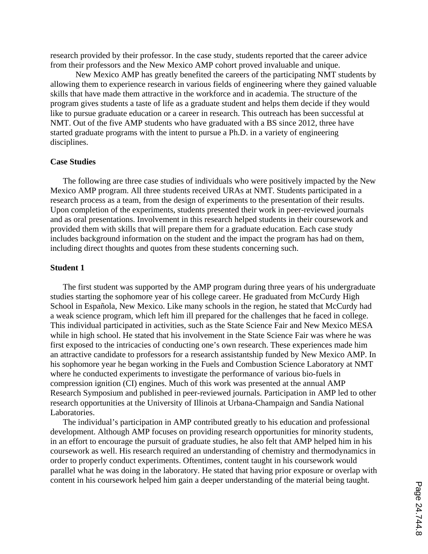research provided by their professor. In the case study, students reported that the career advice from their professors and the New Mexico AMP cohort proved invaluable and unique.

New Mexico AMP has greatly benefited the careers of the participating NMT students by allowing them to experience research in various fields of engineering where they gained valuable skills that have made them attractive in the workforce and in academia. The structure of the program gives students a taste of life as a graduate student and helps them decide if they would like to pursue graduate education or a career in research. This outreach has been successful at NMT. Out of the five AMP students who have graduated with a BS since 2012, three have started graduate programs with the intent to pursue a Ph.D. in a variety of engineering disciplines.

## **Case Studies**

The following are three case studies of individuals who were positively impacted by the New Mexico AMP program. All three students received URAs at NMT. Students participated in a research process as a team, from the design of experiments to the presentation of their results. Upon completion of the experiments, students presented their work in peer-reviewed journals and as oral presentations. Involvement in this research helped students in their coursework and provided them with skills that will prepare them for a graduate education. Each case study includes background information on the student and the impact the program has had on them, including direct thoughts and quotes from these students concerning such.

## **Student 1**

The first student was supported by the AMP program during three years of his undergraduate studies starting the sophomore year of his college career. He graduated from McCurdy High School in Española, New Mexico. Like many schools in the region, he stated that McCurdy had a weak science program, which left him ill prepared for the challenges that he faced in college. This individual participated in activities, such as the State Science Fair and New Mexico MESA while in high school. He stated that his involvement in the State Science Fair was where he was first exposed to the intricacies of conducting one's own research. These experiences made him an attractive candidate to professors for a research assistantship funded by New Mexico AMP. In his sophomore year he began working in the Fuels and Combustion Science Laboratory at NMT where he conducted experiments to investigate the performance of various bio-fuels in compression ignition (CI) engines. Much of this work was presented at the annual AMP Research Symposium and published in peer-reviewed journals. Participation in AMP led to other research opportunities at the University of Illinois at Urbana-Champaign and Sandia National Laboratories.

The individual's participation in AMP contributed greatly to his education and professional development. Although AMP focuses on providing research opportunities for minority students, in an effort to encourage the pursuit of graduate studies, he also felt that AMP helped him in his coursework as well. His research required an understanding of chemistry and thermodynamics in order to properly conduct experiments. Oftentimes, content taught in his coursework would parallel what he was doing in the laboratory. He stated that having prior exposure or overlap with content in his coursework helped him gain a deeper understanding of the material being taught.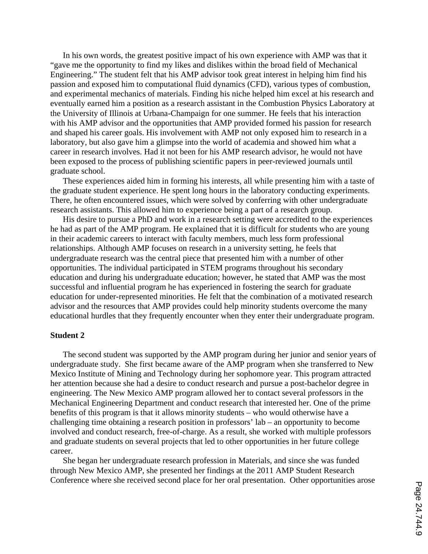In his own words, the greatest positive impact of his own experience with AMP was that it "gave me the opportunity to find my likes and dislikes within the broad field of Mechanical Engineering." The student felt that his AMP advisor took great interest in helping him find his passion and exposed him to computational fluid dynamics (CFD), various types of combustion, and experimental mechanics of materials. Finding his niche helped him excel at his research and eventually earned him a position as a research assistant in the Combustion Physics Laboratory at the University of Illinois at Urbana-Champaign for one summer. He feels that his interaction with his AMP advisor and the opportunities that AMP provided formed his passion for research and shaped his career goals. His involvement with AMP not only exposed him to research in a laboratory, but also gave him a glimpse into the world of academia and showed him what a career in research involves. Had it not been for his AMP research advisor, he would not have been exposed to the process of publishing scientific papers in peer-reviewed journals until graduate school.

These experiences aided him in forming his interests, all while presenting him with a taste of the graduate student experience. He spent long hours in the laboratory conducting experiments. There, he often encountered issues, which were solved by conferring with other undergraduate research assistants. This allowed him to experience being a part of a research group.

His desire to pursue a PhD and work in a research setting were accredited to the experiences he had as part of the AMP program. He explained that it is difficult for students who are young in their academic careers to interact with faculty members, much less form professional relationships. Although AMP focuses on research in a university setting, he feels that undergraduate research was the central piece that presented him with a number of other opportunities. The individual participated in STEM programs throughout his secondary education and during his undergraduate education; however, he stated that AMP was the most successful and influential program he has experienced in fostering the search for graduate education for under-represented minorities. He felt that the combination of a motivated research advisor and the resources that AMP provides could help minority students overcome the many educational hurdles that they frequently encounter when they enter their undergraduate program.

## **Student 2**

The second student was supported by the AMP program during her junior and senior years of undergraduate study. She first became aware of the AMP program when she transferred to New Mexico Institute of Mining and Technology during her sophomore year. This program attracted her attention because she had a desire to conduct research and pursue a post-bachelor degree in engineering. The New Mexico AMP program allowed her to contact several professors in the Mechanical Engineering Department and conduct research that interested her. One of the prime benefits of this program is that it allows minority students – who would otherwise have a challenging time obtaining a research position in professors' lab – an opportunity to become involved and conduct research, free-of-charge. As a result, she worked with multiple professors and graduate students on several projects that led to other opportunities in her future college career.

She began her undergraduate research profession in Materials, and since she was funded through New Mexico AMP, she presented her findings at the 2011 AMP Student Research Conference where she received second place for her oral presentation. Other opportunities arose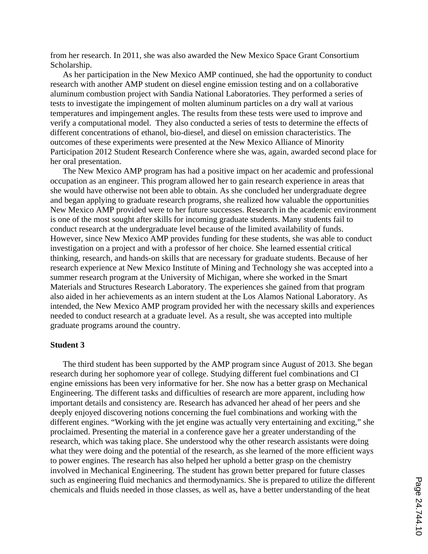from her research. In 2011, she was also awarded the New Mexico Space Grant Consortium Scholarship.

As her participation in the New Mexico AMP continued, she had the opportunity to conduct research with another AMP student on diesel engine emission testing and on a collaborative aluminum combustion project with Sandia National Laboratories. They performed a series of tests to investigate the impingement of molten aluminum particles on a dry wall at various temperatures and impingement angles. The results from these tests were used to improve and verify a computational model. They also conducted a series of tests to determine the effects of different concentrations of ethanol, bio-diesel, and diesel on emission characteristics. The outcomes of these experiments were presented at the New Mexico Alliance of Minority Participation 2012 Student Research Conference where she was, again, awarded second place for her oral presentation.

The New Mexico AMP program has had a positive impact on her academic and professional occupation as an engineer. This program allowed her to gain research experience in areas that she would have otherwise not been able to obtain. As she concluded her undergraduate degree and began applying to graduate research programs, she realized how valuable the opportunities New Mexico AMP provided were to her future successes. Research in the academic environment is one of the most sought after skills for incoming graduate students. Many students fail to conduct research at the undergraduate level because of the limited availability of funds. However, since New Mexico AMP provides funding for these students, she was able to conduct investigation on a project and with a professor of her choice. She learned essential critical thinking, research, and hands-on skills that are necessary for graduate students. Because of her research experience at New Mexico Institute of Mining and Technology she was accepted into a summer research program at the University of Michigan, where she worked in the Smart Materials and Structures Research Laboratory. The experiences she gained from that program also aided in her achievements as an intern student at the Los Alamos National Laboratory. As intended, the New Mexico AMP program provided her with the necessary skills and experiences needed to conduct research at a graduate level. As a result, she was accepted into multiple graduate programs around the country.

#### **Student 3**

The third student has been supported by the AMP program since August of 2013. She began research during her sophomore year of college. Studying different fuel combinations and CI engine emissions has been very informative for her. She now has a better grasp on Mechanical Engineering. The different tasks and difficulties of research are more apparent, including how important details and consistency are. Research has advanced her ahead of her peers and she deeply enjoyed discovering notions concerning the fuel combinations and working with the different engines. "Working with the jet engine was actually very entertaining and exciting," she proclaimed. Presenting the material in a conference gave her a greater understanding of the research, which was taking place. She understood why the other research assistants were doing what they were doing and the potential of the research, as she learned of the more efficient ways to power engines. The research has also helped her uphold a better grasp on the chemistry involved in Mechanical Engineering. The student has grown better prepared for future classes such as engineering fluid mechanics and thermodynamics. She is prepared to utilize the different chemicals and fluids needed in those classes, as well as, have a better understanding of the heat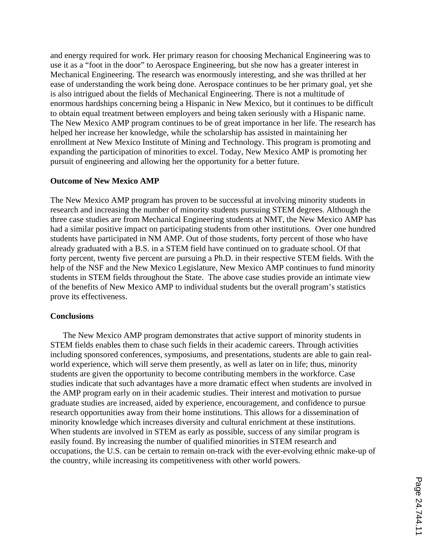and energy required for work. Her primary reason for choosing Mechanical Engineering was to use it as a "foot in the door" to Aerospace Engineering, but she now has a greater interest in Mechanical Engineering. The research was enormously interesting, and she was thrilled at her ease of understanding the work being done. Aerospace continues to be her primary goal, yet she is also intrigued about the fields of Mechanical Engineering. There is not a multitude of enormous hardships concerning being a Hispanic in New Mexico, but it continues to be difficult to obtain equal treatment between employers and being taken seriously with a Hispanic name. The New Mexico AMP program continues to be of great importance in her life. The research has helped her increase her knowledge, while the scholarship has assisted in maintaining her enrollment at New Mexico Institute of Mining and Technology. This program is promoting and expanding the participation of minorities to excel. Today, New Mexico AMP is promoting her pursuit of engineering and allowing her the opportunity for a better future.

## **Outcome of New Mexico AMP**

The New Mexico AMP program has proven to be successful at involving minority students in research and increasing the number of minority students pursuing STEM degrees. Although the three case studies are from Mechanical Engineering students at NMT, the New Mexico AMP has had a similar positive impact on participating students from other institutions. Over one hundred students have participated in NM AMP. Out of those students, forty percent of those who have already graduated with a B.S. in a STEM field have continued on to graduate school. Of that forty percent, twenty five percent are pursuing a Ph.D. in their respective STEM fields. With the help of the NSF and the New Mexico Legislature, New Mexico AMP continues to fund minority students in STEM fields throughout the State. The above case studies provide an intimate view of the benefits of New Mexico AMP to individual students but the overall program's statistics prove its effectiveness.

## **Conclusions**

The New Mexico AMP program demonstrates that active support of minority students in STEM fields enables them to chase such fields in their academic careers. Through activities including sponsored conferences, symposiums, and presentations, students are able to gain realworld experience, which will serve them presently, as well as later on in life; thus, minority students are given the opportunity to become contributing members in the workforce. Case studies indicate that such advantages have a more dramatic effect when students are involved in the AMP program early on in their academic studies. Their interest and motivation to pursue graduate studies are increased, aided by experience, encouragement, and confidence to pursue research opportunities away from their home institutions. This allows for a dissemination of minority knowledge which increases diversity and cultural enrichment at these institutions. When students are involved in STEM as early as possible, success of any similar program is easily found. By increasing the number of qualified minorities in STEM research and occupations, the U.S. can be certain to remain on-track with the ever-evolving ethnic make-up of the country, while increasing its competitiveness with other world powers.